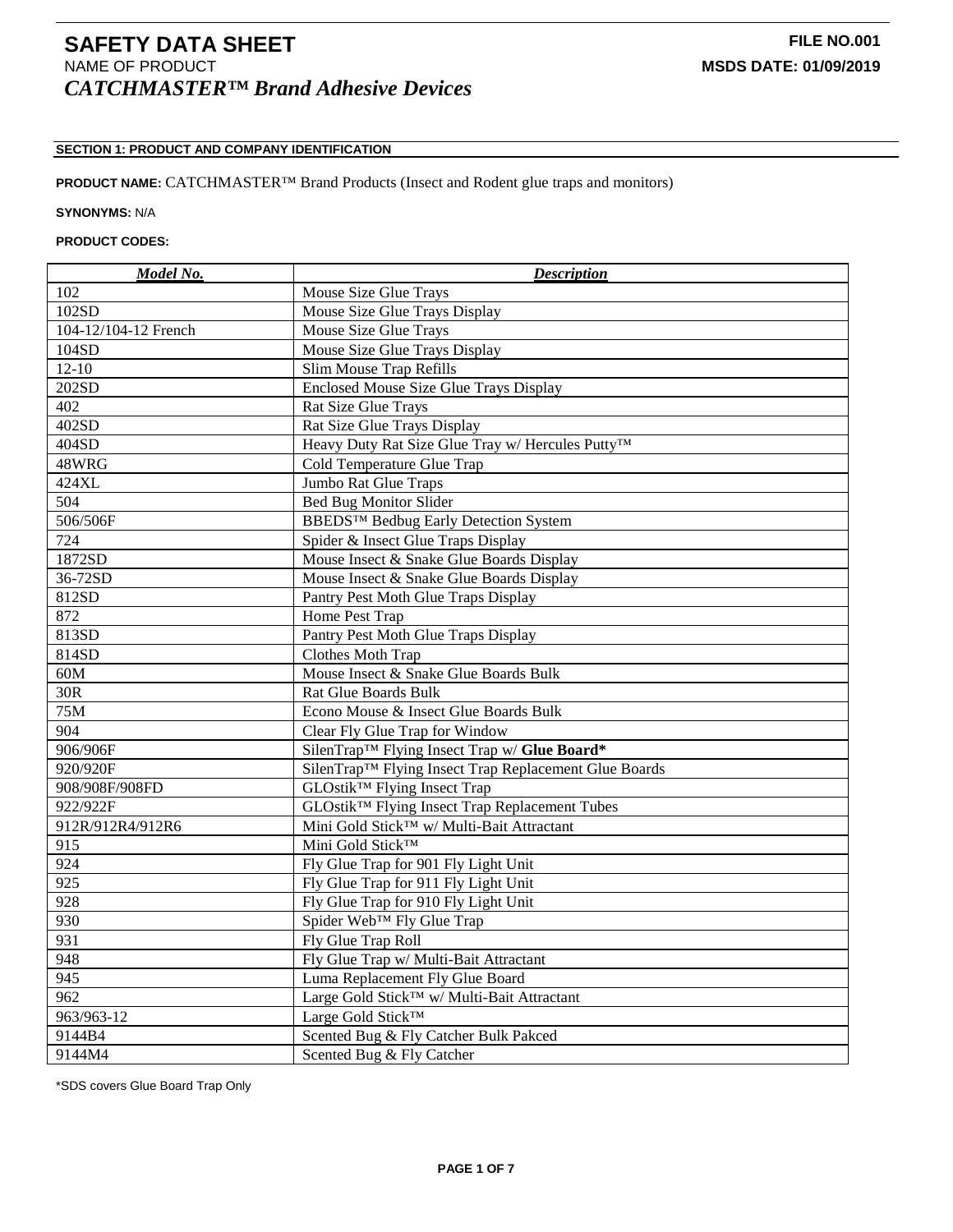# **SECTION 1: PRODUCT AND COMPANY IDENTIFICATION**

# **PRODUCT NAME:** CATCHMASTER™ Brand Products (Insect and Rodent glue traps and monitors)

### **SYNONYMS:** N/A

# **PRODUCT CODES:**

| Model No.            | <b>Description</b>                                                |
|----------------------|-------------------------------------------------------------------|
| 102                  | Mouse Size Glue Trays                                             |
| 102SD                | Mouse Size Glue Trays Display                                     |
| 104-12/104-12 French | Mouse Size Glue Trays                                             |
| 104SD                | Mouse Size Glue Trays Display                                     |
| $12 - 10$            | Slim Mouse Trap Refills                                           |
| 202SD                | Enclosed Mouse Size Glue Trays Display                            |
| 402                  | Rat Size Glue Trays                                               |
| 402SD                | Rat Size Glue Trays Display                                       |
| 404SD                | Heavy Duty Rat Size Glue Tray w/ Hercules Putty <sup>TM</sup>     |
| 48WRG                | Cold Temperature Glue Trap                                        |
| 424XL                | Jumbo Rat Glue Traps                                              |
| 504                  | <b>Bed Bug Monitor Slider</b>                                     |
| 506/506F             | BBEDS <sup>TM</sup> Bedbug Early Detection System                 |
| 724                  | Spider & Insect Glue Traps Display                                |
| 1872SD               | Mouse Insect & Snake Glue Boards Display                          |
| 36-72SD              | Mouse Insect & Snake Glue Boards Display                          |
| 812SD                | Pantry Pest Moth Glue Traps Display                               |
| 872                  | Home Pest Trap                                                    |
| 813SD                | Pantry Pest Moth Glue Traps Display                               |
| 814SD                | Clothes Moth Trap                                                 |
| 60M                  | Mouse Insect & Snake Glue Boards Bulk                             |
| 30R                  | <b>Rat Glue Boards Bulk</b>                                       |
| 75M                  | Econo Mouse & Insect Glue Boards Bulk                             |
| 904                  | Clear Fly Glue Trap for Window                                    |
| 906/906F             | SilenTrap™ Flying Insect Trap w/ Glue Board*                      |
| 920/920F             | SilenTrap <sup>™</sup> Flying Insect Trap Replacement Glue Boards |
| 908/908F/908FD       | GLOstik <sup>™</sup> Flying Insect Trap                           |
| 922/922F             | GLOstik™ Flying Insect Trap Replacement Tubes                     |
| 912R/912R4/912R6     | Mini Gold Stick™ w/ Multi-Bait Attractant                         |
| 915                  | Mini Gold Stick™                                                  |
| 924                  | Fly Glue Trap for 901 Fly Light Unit                              |
| 925                  | Fly Glue Trap for 911 Fly Light Unit                              |
| 928                  | Fly Glue Trap for 910 Fly Light Unit                              |
| 930                  | Spider Web <sup>™</sup> Fly Glue Trap                             |
| 931                  | Fly Glue Trap Roll                                                |
| 948                  | Fly Glue Trap w/ Multi-Bait Attractant                            |
| $\overline{945}$     | Luma Replacement Fly Glue Board                                   |
| 962                  | Large Gold Stick <sup>™</sup> w/ Multi-Bait Attractant            |
| 963/963-12           | Large Gold Stick <sup>TM</sup>                                    |
| 9144B4               | Scented Bug & Fly Catcher Bulk Pakced                             |
| 9144M4               | Scented Bug & Fly Catcher                                         |

\*SDS covers Glue Board Trap Only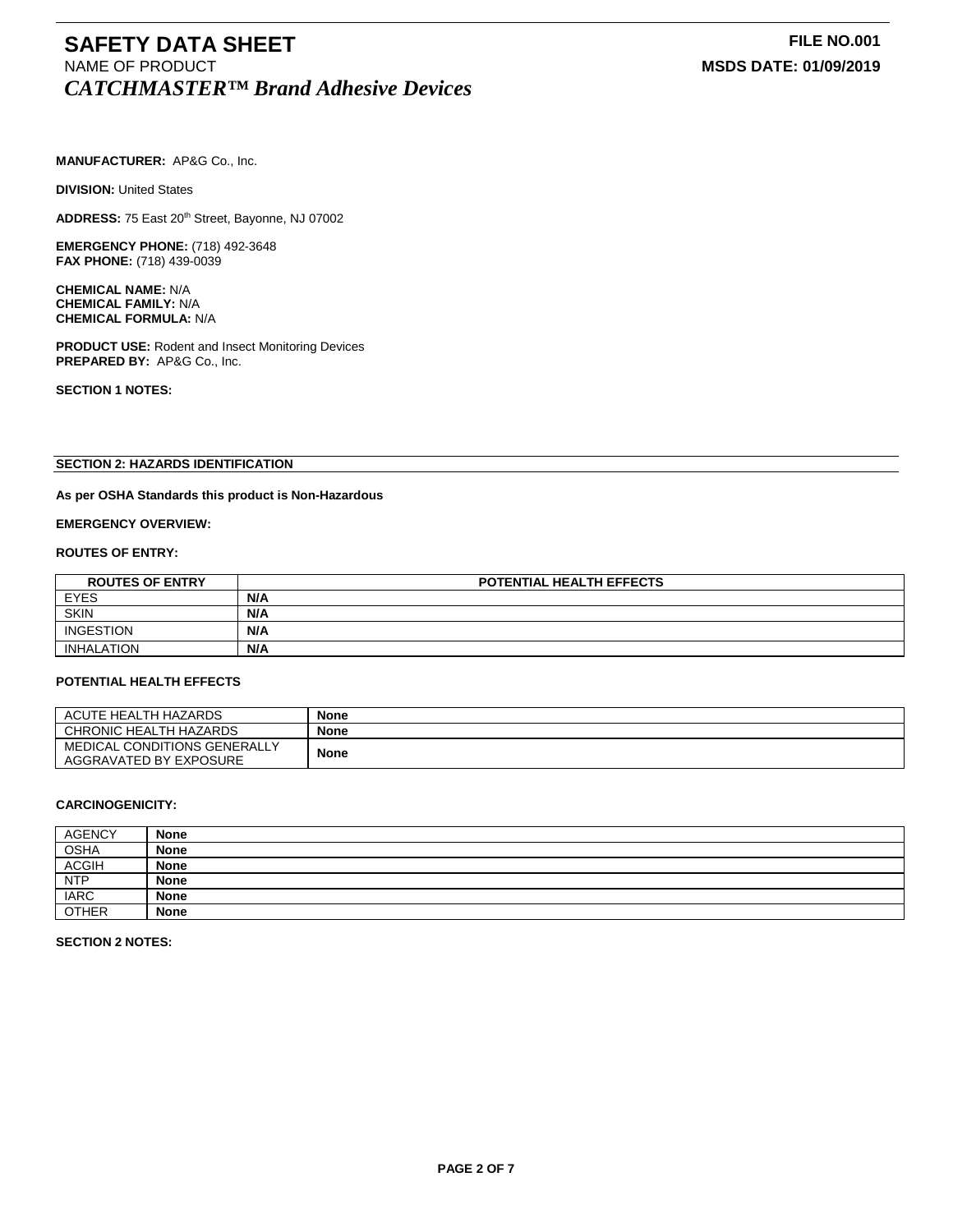# **SAFETY DATA SHEET**<br>
NAME OF PRODUCT **FILE NO.001**<br>
MSDS DATE: 01/09/2019 *CATCHMASTER™ Brand Adhesive Devices*

**MANUFACTURER:** AP&G Co., Inc.

**DIVISION: United States** 

ADDRESS: 75 East 20<sup>th</sup> Street, Bayonne, NJ 07002

**EMERGENCY PHONE:** (718) 492-3648 **FAX PHONE:** (718) 439-0039

**CHEMICAL NAME:** N/A **CHEMICAL FAMILY:** N/A **CHEMICAL FORMULA:** N/A

**PRODUCT USE:** Rodent and Insect Monitoring Devices **PREPARED BY:** AP&G Co., Inc.

**SECTION 1 NOTES:**

# **SECTION 2: HAZARDS IDENTIFICATION**

### **As per OSHA Standards this product is Non-Hazardous**

**EMERGENCY OVERVIEW:**

### **ROUTES OF ENTRY:**

| <b>ROUTES OF ENTRY</b> | <b>POTENTIAL HEALTH EFFECTS</b> |  |
|------------------------|---------------------------------|--|
| <b>EYES</b>            | N/A                             |  |
| <b>SKIN</b>            | N/A                             |  |
| <b>INGESTION</b>       | N/A                             |  |
| INHALATION             | N/A                             |  |

#### **POTENTIAL HEALTH EFFECTS**

| ACUTE HEALTH HAZARDS         | <b>None</b> |
|------------------------------|-------------|
| CHRONIC HEALTH HAZARDS       | <b>None</b> |
| MEDICAL CONDITIONS GENERALLY | <b>None</b> |
| AGGRAVATED BY EXPOSURE       |             |

### **CARCINOGENICITY:**

| <b>AGENCY</b> | <b>None</b> |
|---------------|-------------|
| <b>OSHA</b>   | <b>None</b> |
| <b>ACGIH</b>  | <b>None</b> |
| <b>NTP</b>    | <b>None</b> |
| <b>IARC</b>   | <b>None</b> |
| <b>OTHER</b>  | <b>None</b> |

**SECTION 2 NOTES:**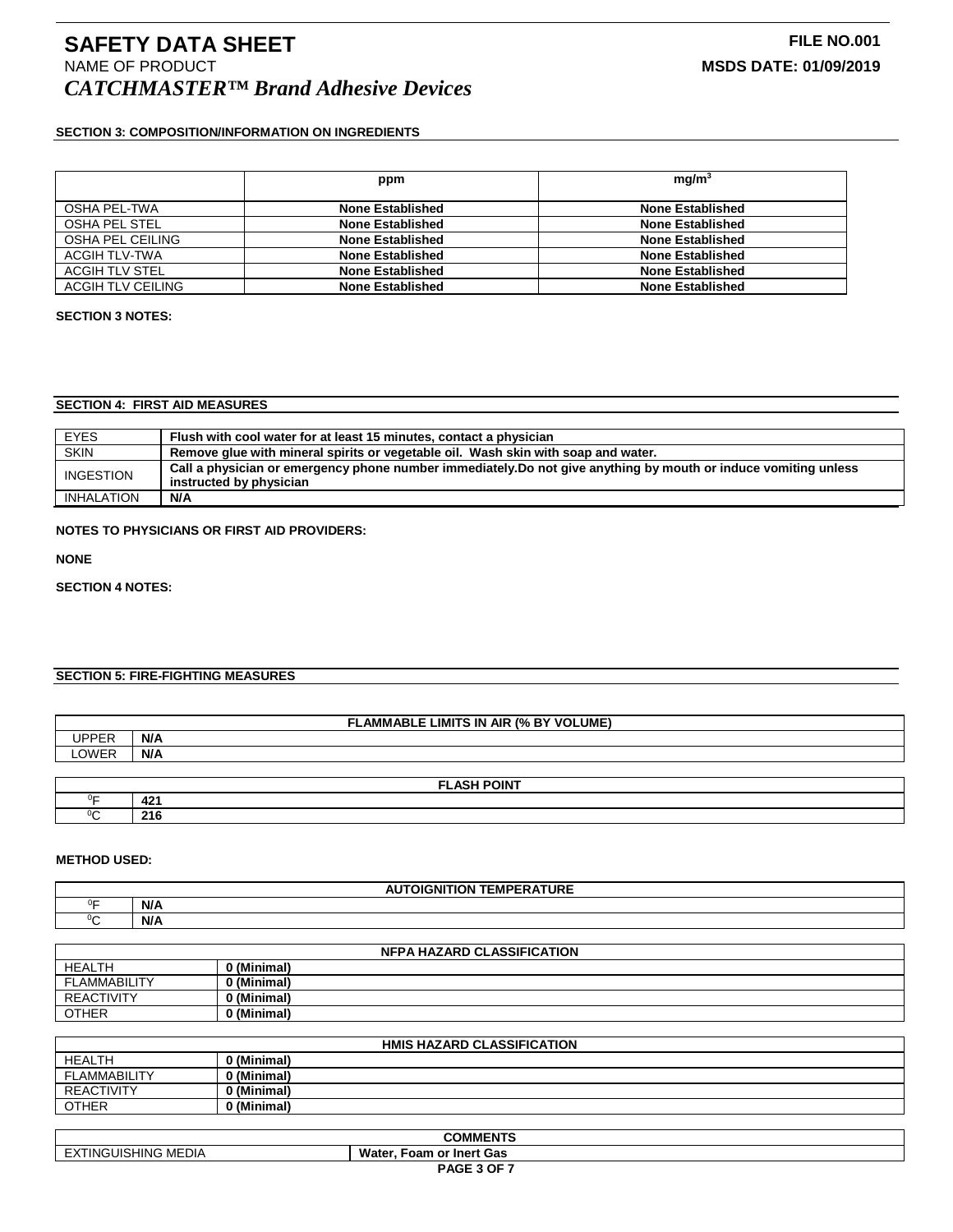# **SECTION 3: COMPOSITION/INFORMATION ON INGREDIENTS**

|                          | ppm                     | mq/m <sup>3</sup>       |
|--------------------------|-------------------------|-------------------------|
| OSHA PEL-TWA             | <b>None Established</b> | <b>None Established</b> |
| OSHA PEL STEL            | <b>None Established</b> | <b>None Established</b> |
| OSHA PEL CEILING         | <b>None Established</b> | <b>None Established</b> |
| ACGIH TLV-TWA            | <b>None Established</b> | <b>None Established</b> |
| ACGIH TLV STEL           | <b>None Established</b> | <b>None Established</b> |
| <b>ACGIH TLV CEILING</b> | <b>None Established</b> | <b>None Established</b> |

### **SECTION 3 NOTES:**

# **SECTION 4: FIRST AID MEASURES**

| <b>EYES</b>       | Flush with cool water for at least 15 minutes, contact a physician                                              |  |
|-------------------|-----------------------------------------------------------------------------------------------------------------|--|
| <b>SKIN</b>       | Remove glue with mineral spirits or vegetable oil. Wash skin with soap and water.                               |  |
| <b>INGESTION</b>  | Call a physician or emergency phone number immediately. Do not give anything by mouth or induce vomiting unless |  |
|                   | instructed by physician                                                                                         |  |
| <b>INHALATION</b> | N/A                                                                                                             |  |

# **NOTES TO PHYSICIANS OR FIRST AID PROVIDERS:**

**NONE**

# **SECTION 4 NOTES:**

# **SECTION 5: FIRE-FIGHTING MEASURES**

| <b>FLAMMABLE LIMITS IN AIR (% BY VOLUME)</b> |              |  |
|----------------------------------------------|--------------|--|
| <b>UPPER</b>                                 | N/A          |  |
| LOWER                                        | N/A          |  |
|                                              |              |  |
| <b>FLASH POINT</b>                           |              |  |
| 0⊏                                           | $42^{\circ}$ |  |

### **METHOD USED:**

C **216**

 $\overline{C}$ 

| -----<br>----<br><b>TEMPERATURE</b><br>ITION<br>лGN<br>г. |     |  |
|-----------------------------------------------------------|-----|--|
| $\sim$                                                    | N/A |  |
| ~                                                         | N/A |  |

| <b>NFPA HAZARD CLASSIFICATION</b> |             |  |
|-----------------------------------|-------------|--|
| <b>HEALTH</b>                     | ) (Minimal) |  |
| <b>FLAMMABILITY</b>               | (Minimal)   |  |
| <b>REACTIVITY</b>                 | ) (Minimal) |  |
| <b>OTHER</b>                      | ) (Minimal) |  |

| <b>HMIS HAZARD CLASSIFICATION</b> |             |  |
|-----------------------------------|-------------|--|
| <b>HEALTH</b>                     | ) (Minimal) |  |
| <b>FLAMMABILITY</b>               | ) (Minimal) |  |
| <b>REACTIVITY</b>                 | ) (Minimal) |  |
| <b>OTHER</b>                      | 0 (Minimal) |  |

| <b>COMMENTS</b>          |                                  |
|--------------------------|----------------------------------|
| NGUISHING MEDIA<br>، IN' | Water.<br>າ or Inert Gas<br>Foam |
| PAGE 3 OF 7              |                                  |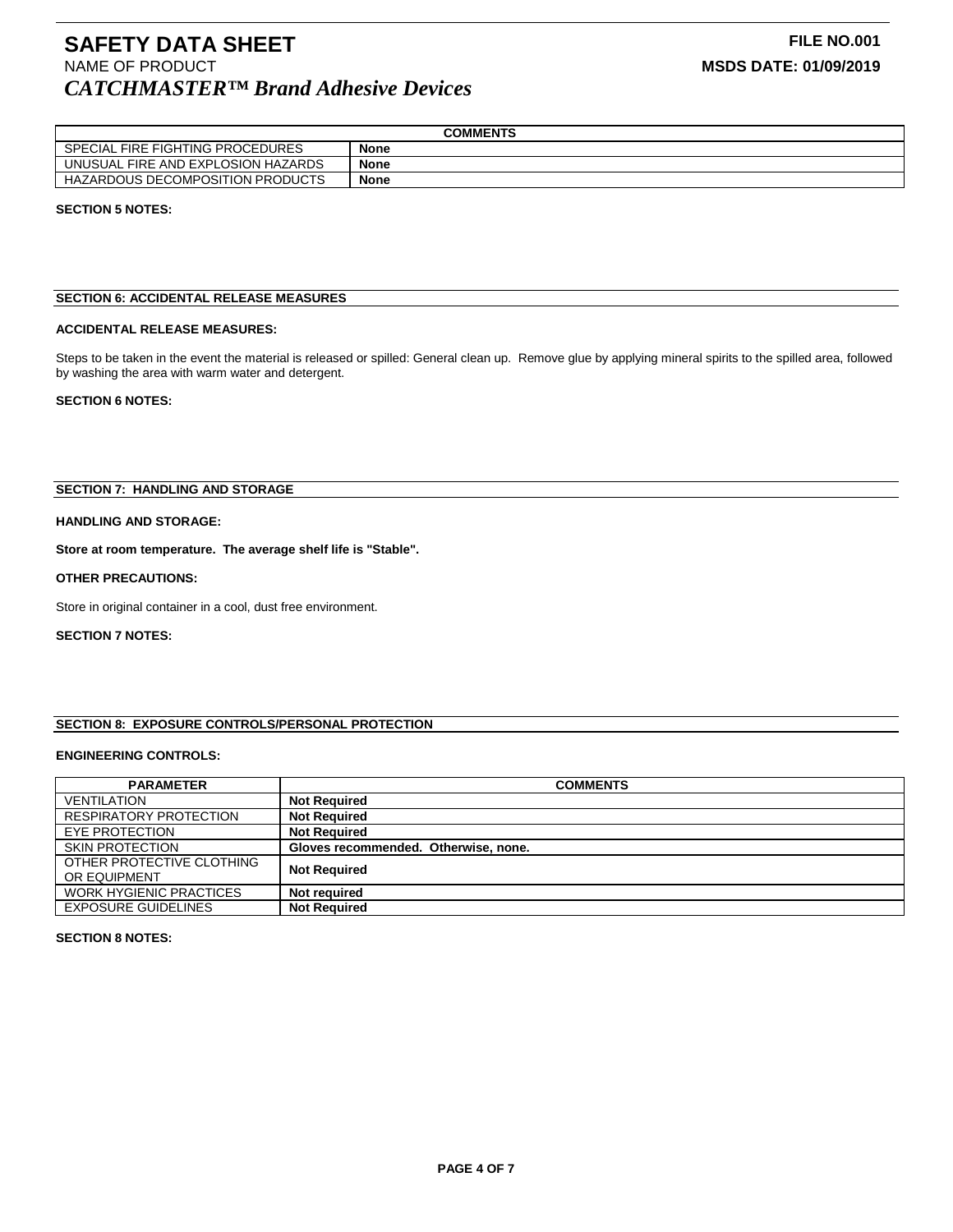# **SAFETY DATA SHEET**<br>
NAME OF PRODUCT **FILE NO.001**<br>
MSDS DATE: 01/09/2019 *CATCHMASTER™ Brand Adhesive Devices*

| <b>COMMENTS</b>                    |             |  |
|------------------------------------|-------------|--|
| SPECIAL FIRE FIGHTING PROCEDURES   | <b>None</b> |  |
| UNUSUAL FIRE AND EXPLOSION HAZARDS | <b>None</b> |  |
| HAZARDOUS DECOMPOSITION PRODUCTS   | None        |  |

### **SECTION 5 NOTES:**

### **SECTION 6: ACCIDENTAL RELEASE MEASURES**

#### **ACCIDENTAL RELEASE MEASURES:**

Steps to be taken in the event the material is released or spilled: General clean up. Remove glue by applying mineral spirits to the spilled area, followed by washing the area with warm water and detergent.

### **SECTION 6 NOTES:**

### **SECTION 7: HANDLING AND STORAGE**

### **HANDLING AND STORAGE:**

**Store at room temperature. The average shelf life is "Stable".**

#### **OTHER PRECAUTIONS:**

Store in original container in a cool, dust free environment.

### **SECTION 7 NOTES:**

# **SECTION 8: EXPOSURE CONTROLS/PERSONAL PROTECTION**

### **ENGINEERING CONTROLS:**

| <b>PARAMETER</b>                          | <b>COMMENTS</b>                      |
|-------------------------------------------|--------------------------------------|
| <b>VENTILATION</b>                        | <b>Not Required</b>                  |
| <b>RESPIRATORY PROTECTION</b>             | <b>Not Required</b>                  |
| EYE PROTECTION                            | <b>Not Required</b>                  |
| <b>SKIN PROTECTION</b>                    | Gloves recommended. Otherwise, none. |
| OTHER PROTECTIVE CLOTHING<br>OR EQUIPMENT | <b>Not Required</b>                  |
| <b>WORK HYGIENIC PRACTICES</b>            | Not required                         |
| <b>EXPOSURE GUIDELINES</b>                | <b>Not Required</b>                  |

#### **SECTION 8 NOTES:**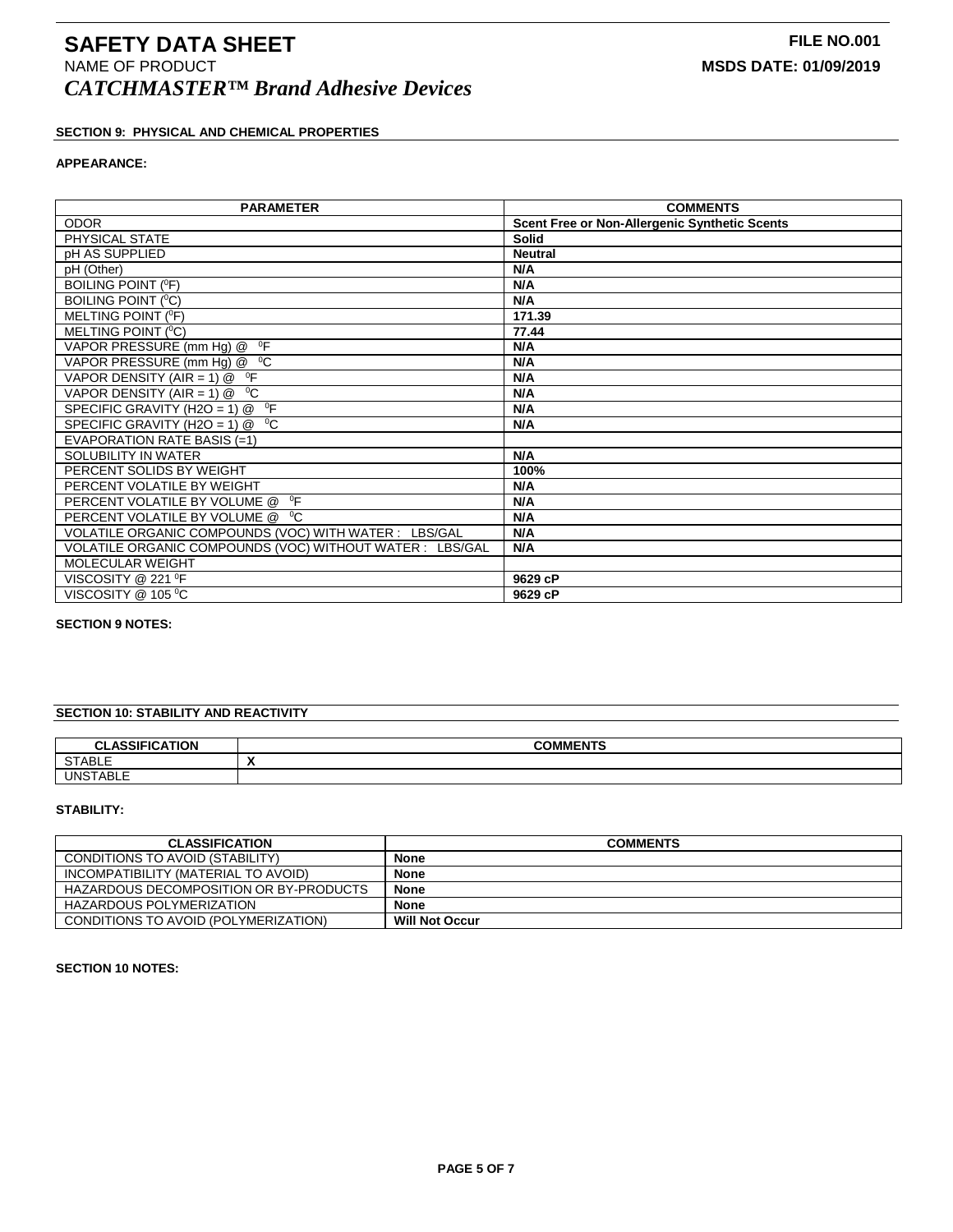# **SECTION 9: PHYSICAL AND CHEMICAL PROPERTIES**

# **APPEARANCE:**

| <b>PARAMETER</b>                                         | <b>COMMENTS</b>                               |
|----------------------------------------------------------|-----------------------------------------------|
| <b>ODOR</b>                                              | Scent Free or Non-Allergenic Synthetic Scents |
| PHYSICAL STATE                                           | <b>Solid</b>                                  |
| <b>pH AS SUPPLIED</b>                                    | <b>Neutral</b>                                |
| pH (Other)                                               | N/A                                           |
| <b>BOILING POINT (°F)</b>                                | N/A                                           |
| BOILING POINT ( <sup>0</sup> C)                          | N/A                                           |
| MELTING POINT ( <sup>O</sup> F)                          | 171.39                                        |
| MELTING POINT ( <sup>O</sup> C)                          | 77.44                                         |
| VAPOR PRESSURE (mm Hg) @ <sup>o</sup> F                  | N/A                                           |
| VAPOR PRESSURE (mm Hg) @ <sup>0</sup> C                  | N/A                                           |
| VAPOR DENSITY (AIR = 1) $@$ <sup>o</sup> F               | N/A                                           |
| VAPOR DENSITY (AIR = 1) $@$ <sup>o</sup> C               | N/A                                           |
| $^0$ F<br>SPECIFIC GRAVITY (H2O = 1) $@$                 | N/A                                           |
| $^0C$<br>SPECIFIC GRAVITY (H2O = 1) @                    | N/A                                           |
| EVAPORATION RATE BASIS (=1)                              |                                               |
| SOLUBILITY IN WATER                                      | N/A                                           |
| PERCENT SOLIDS BY WEIGHT                                 | 100%                                          |
| PERCENT VOLATILE BY WEIGHT                               | N/A                                           |
| $^0$ F<br>PERCENT VOLATILE BY VOLUME @                   | N/A                                           |
| PERCENT VOLATILE BY VOLUME @ <sup>0</sup> C              | N/A                                           |
| VOLATILE ORGANIC COMPOUNDS (VOC) WITH WATER: LBS/GAL     | N/A                                           |
| VOLATILE ORGANIC COMPOUNDS (VOC) WITHOUT WATER : LBS/GAL | N/A                                           |
| <b>MOLECULAR WEIGHT</b>                                  |                                               |
| VISCOSITY @ 221 <sup>o</sup> F                           | 9629 cP                                       |
| VISCOSITY @ 105 °C                                       | 9629 cP                                       |

# **SECTION 9 NOTES:**

# **SECTION 10: STABILITY AND REACTIVITY**

| <b>ASSIEIC</b><br><b>ATION</b><br>$\sim$<br><b>ULAJJI</b> | <b>COMMENTS</b>          |
|-----------------------------------------------------------|--------------------------|
| <b>CTADIE</b><br><b>SIADLE</b>                            | $\overline{\phantom{a}}$ |
| <b>TABLE</b><br>ା IN <sup>or</sup>                        |                          |

### **STABILITY:**

| <b>CLASSIFICATION</b>                  | <b>COMMENTS</b>       |
|----------------------------------------|-----------------------|
| CONDITIONS TO AVOID (STABILITY)        | <b>None</b>           |
| INCOMPATIBILITY (MATERIAL TO AVOID)    | <b>None</b>           |
| HAZARDOUS DECOMPOSITION OR BY-PRODUCTS | <b>None</b>           |
| HAZARDOUS POLYMERIZATION               | <b>None</b>           |
| CONDITIONS TO AVOID (POLYMERIZATION)   | <b>Will Not Occur</b> |

### **SECTION 10 NOTES:**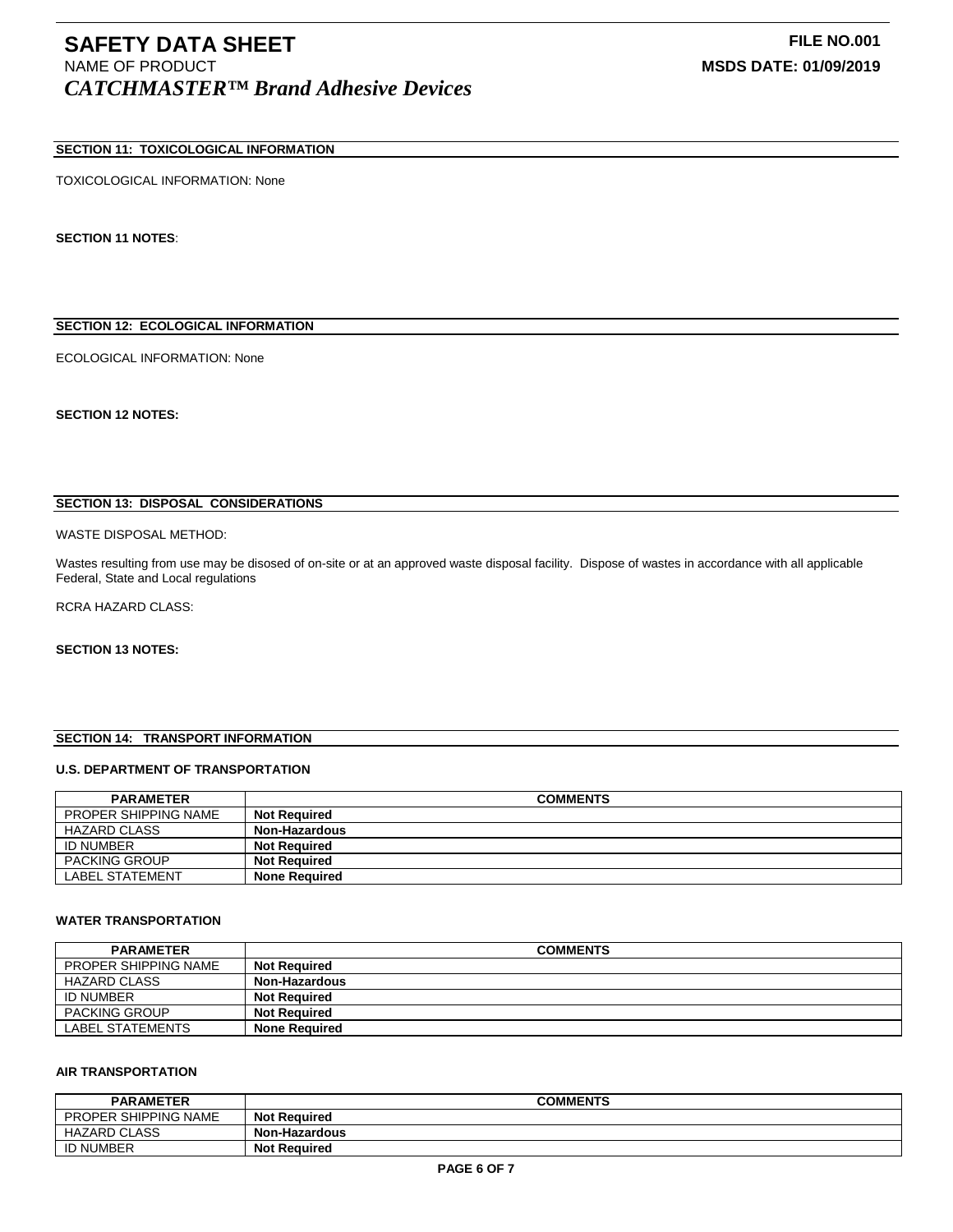# **SAFETY DATA SHEET**<br>
NAME OF PRODUCT **FILE NO.001**<br>
MSDS DATE: 01/09/2019 *CATCHMASTER™ Brand Adhesive Devices*

# **SECTION 11: TOXICOLOGICAL INFORMATION**

### TOXICOLOGICAL INFORMATION: None

**SECTION 11 NOTES**:

# **SECTION 12: ECOLOGICAL INFORMATION**

ECOLOGICAL INFORMATION: None

**SECTION 12 NOTES:**

## **SECTION 13: DISPOSAL CONSIDERATIONS**

#### WASTE DISPOSAL METHOD:

Wastes resulting from use may be disosed of on-site or at an approved waste disposal facility. Dispose of wastes in accordance with all applicable Federal, State and Local regulations

RCRA HAZARD CLASS:

# **SECTION 13 NOTES:**

### **SECTION 14: TRANSPORT INFORMATION**

# **U.S. DEPARTMENT OF TRANSPORTATION**

| <b>PARAMETER</b>            | <b>COMMENTS</b>      |
|-----------------------------|----------------------|
| <b>PROPER SHIPPING NAME</b> | <b>Not Required</b>  |
| <b>HAZARD CLASS</b>         | Non-Hazardous        |
| <b>ID NUMBER</b>            | <b>Not Required</b>  |
| <b>PACKING GROUP</b>        | <b>Not Required</b>  |
| <b>LABEL STATEMENT</b>      | <b>None Required</b> |

#### **WATER TRANSPORTATION**

| <b>PARAMETER</b>            | <b>COMMENTS</b>      |
|-----------------------------|----------------------|
| <b>PROPER SHIPPING NAME</b> | <b>Not Required</b>  |
| HAZARD CLASS                | Non-Hazardous        |
| <b>ID NUMBER</b>            | <b>Not Required</b>  |
| <b>PACKING GROUP</b>        | <b>Not Required</b>  |
| LABEL STATEMENTS            | <b>None Required</b> |

### **AIR TRANSPORTATION**

| <b>PARAMETER</b>            | <b>COMMENTS</b>      |
|-----------------------------|----------------------|
| <b>PROPER SHIPPING NAME</b> | <b>Not Required</b>  |
| HAZARD CLASS                | <b>Non-Hazardous</b> |
| <b>ID NUMBER</b>            | <b>Not Required</b>  |